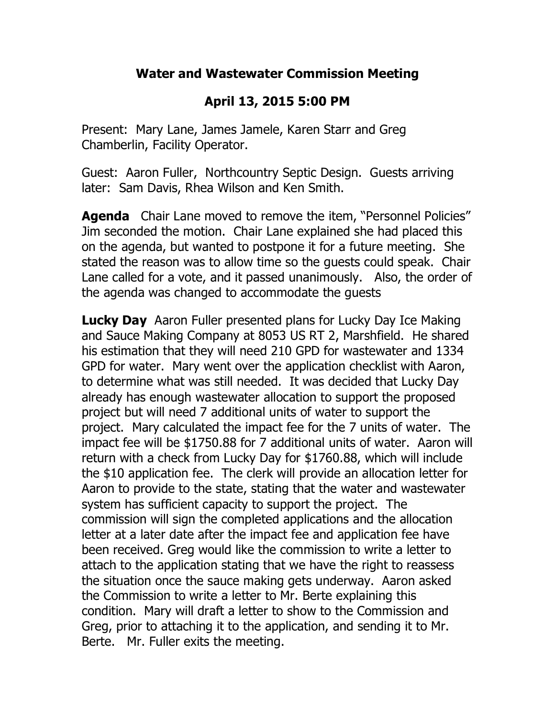## **Water and Wastewater Commission Meeting**

## **April 13, 2015 5:00 PM**

Present: Mary Lane, James Jamele, Karen Starr and Greg Chamberlin, Facility Operator.

Guest: Aaron Fuller, Northcountry Septic Design. Guests arriving later: Sam Davis, Rhea Wilson and Ken Smith.

**Agenda** Chair Lane moved to remove the item, "Personnel Policies" Jim seconded the motion. Chair Lane explained she had placed this on the agenda, but wanted to postpone it for a future meeting. She stated the reason was to allow time so the guests could speak. Chair Lane called for a vote, and it passed unanimously. Also, the order of the agenda was changed to accommodate the guests

**Lucky Day** Aaron Fuller presented plans for Lucky Day Ice Making and Sauce Making Company at 8053 US RT 2, Marshfield. He shared his estimation that they will need 210 GPD for wastewater and 1334 GPD for water. Mary went over the application checklist with Aaron, to determine what was still needed. It was decided that Lucky Day already has enough wastewater allocation to support the proposed project but will need 7 additional units of water to support the project. Mary calculated the impact fee for the 7 units of water. The impact fee will be \$1750.88 for 7 additional units of water. Aaron will return with a check from Lucky Day for \$1760.88, which will include the \$10 application fee. The clerk will provide an allocation letter for Aaron to provide to the state, stating that the water and wastewater system has sufficient capacity to support the project. The commission will sign the completed applications and the allocation letter at a later date after the impact fee and application fee have been received. Greg would like the commission to write a letter to attach to the application stating that we have the right to reassess the situation once the sauce making gets underway. Aaron asked the Commission to write a letter to Mr. Berte explaining this condition. Mary will draft a letter to show to the Commission and Greg, prior to attaching it to the application, and sending it to Mr. Berte. Mr. Fuller exits the meeting.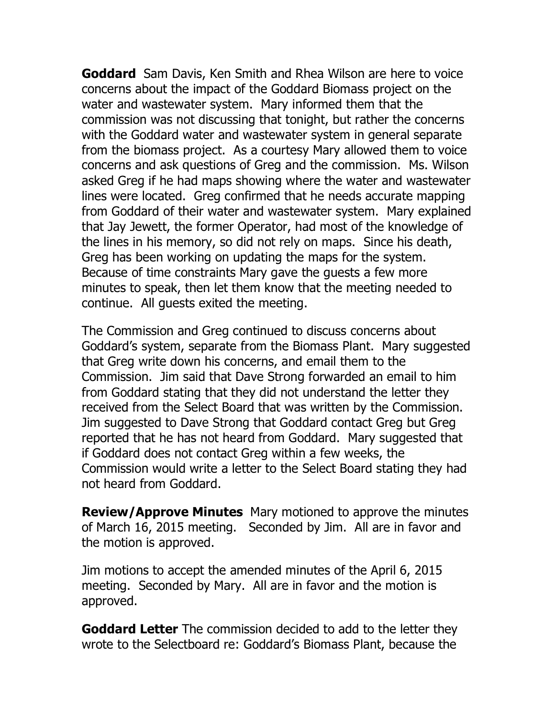**Goddard** Sam Davis, Ken Smith and Rhea Wilson are here to voice concerns about the impact of the Goddard Biomass project on the water and wastewater system. Mary informed them that the commission was not discussing that tonight, but rather the concerns with the Goddard water and wastewater system in general separate from the biomass project. As a courtesy Mary allowed them to voice concerns and ask questions of Greg and the commission. Ms. Wilson asked Greg if he had maps showing where the water and wastewater lines were located. Greg confirmed that he needs accurate mapping from Goddard of their water and wastewater system. Mary explained that Jay Jewett, the former Operator, had most of the knowledge of the lines in his memory, so did not rely on maps. Since his death, Greg has been working on updating the maps for the system. Because of time constraints Mary gave the guests a few more minutes to speak, then let them know that the meeting needed to continue. All guests exited the meeting.

The Commission and Greg continued to discuss concerns about Goddard's system, separate from the Biomass Plant. Mary suggested that Greg write down his concerns, and email them to the Commission. Jim said that Dave Strong forwarded an email to him from Goddard stating that they did not understand the letter they received from the Select Board that was written by the Commission. Jim suggested to Dave Strong that Goddard contact Greg but Greg reported that he has not heard from Goddard. Mary suggested that if Goddard does not contact Greg within a few weeks, the Commission would write a letter to the Select Board stating they had not heard from Goddard.

**Review/Approve Minutes** Mary motioned to approve the minutes of March 16, 2015 meeting. Seconded by Jim. All are in favor and the motion is approved.

Jim motions to accept the amended minutes of the April 6, 2015 meeting. Seconded by Mary. All are in favor and the motion is approved.

**Goddard Letter** The commission decided to add to the letter they wrote to the Selectboard re: Goddard's Biomass Plant, because the